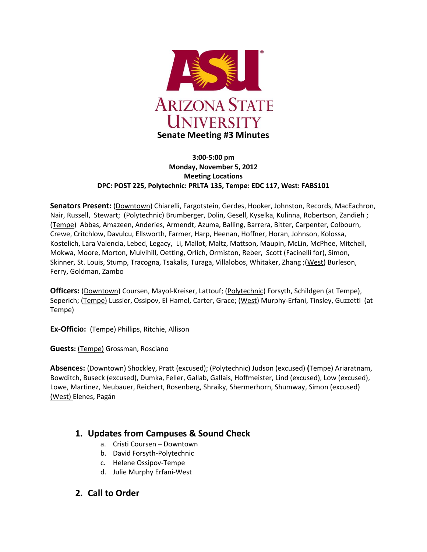

#### **3:00-5:00 pm Monday, November 5, 2012 Meeting Locations DPC: POST 225, Polytechnic: PRLTA 135, Tempe: EDC 117, West: FABS101**

**Senators Present:** (Downtown) Chiarelli, Fargotstein, Gerdes, Hooker, Johnston, Records, MacEachron, Nair, Russell, Stewart; (Polytechnic) Brumberger, Dolin, Gesell, Kyselka, Kulinna, Robertson, Zandieh ; (Tempe) Abbas, Amazeen, Anderies, Armendt, Azuma, Balling, Barrera, Bitter, Carpenter, Colbourn, Crewe, Critchlow, Davulcu, Ellsworth, Farmer, Harp, Heenan, Hoffner, Horan, Johnson, Kolossa, Kostelich, Lara Valencia, Lebed, Legacy, Li, Mallot, Maltz, Mattson, Maupin, McLin, McPhee, Mitchell, Mokwa, Moore, Morton, Mulvihill, Oetting, Orlich, Ormiston, Reber, Scott (Facinelli for), Simon, Skinner, St. Louis, Stump, Tracogna, Tsakalis, Turaga, Villalobos, Whitaker, Zhang ;(West) Burleson, Ferry, Goldman, Zambo

**Officers:** (Downtown) Coursen, Mayol-Kreiser, Lattouf; (Polytechnic) Forsyth, Schildgen (at Tempe), Seperich; (Tempe) Lussier, Ossipov, El Hamel, Carter, Grace; (West) Murphy-Erfani, Tinsley, Guzzetti (at Tempe)

**Ex-Officio:** (Tempe) Phillips, Ritchie, Allison

**Guests:** (Tempe) Grossman, Rosciano

**Absences:** (Downtown) Shockley, Pratt (excused); (Polytechnic) Judson (excused) **(**Tempe) Ariaratnam, Bowditch, Buseck (excused), Dumka, Feller, Gallab, Gallais, Hoffmeister, Lind (excused), Low (excused), Lowe, Martinez, Neubauer, Reichert, Rosenberg, Shraiky, Shermerhorn, Shumway, Simon (excused) (West) Elenes, Pagán

## **1. Updates from Campuses & Sound Check**

- a. Cristi Coursen Downtown
- b. David Forsyth-Polytechnic
- c. Helene Ossipov-Tempe
- d. Julie Murphy Erfani-West
- **2. Call to Order**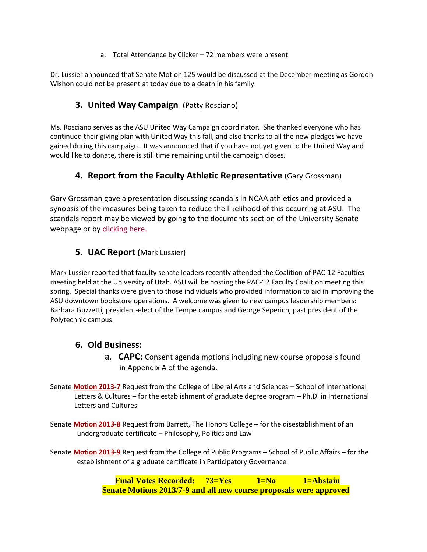a. Total Attendance by Clicker – 72 members were present

Dr. Lussier announced that Senate Motion 125 would be discussed at the December meeting as Gordon Wishon could not be present at today due to a death in his family.

# **3. United Way Campaign** (Patty Rosciano)

Ms. Rosciano serves as the ASU United Way Campaign coordinator. She thanked everyone who has continued their giving plan with United Way this fall, and also thanks to all the new pledges we have gained during this campaign. It was announced that if you have not yet given to the United Way and would like to donate, there is still time remaining until the campaign closes.

# **4. Report from the Faculty Athletic Representative** (Gary Grossman)

Gary Grossman gave a presentation discussing scandals in NCAA athletics and provided a synopsis of the measures being taken to reduce the likelihood of this occurring at ASU. The scandals report may be viewed by going to the documents section of the University Senate webpage or by [clicking here.](http://usenate.asu.edu/files/Scandals_Intercollegiate_Athletics_Grossman_11-5-2012.pdf)

## **5. UAC Report (**Mark Lussier)

Mark Lussier reported that faculty senate leaders recently attended the Coalition of PAC-12 Faculties meeting held at the University of Utah. ASU will be hosting the PAC-12 Faculty Coalition meeting this spring. Special thanks were given to those individuals who provided information to aid in improving the ASU downtown bookstore operations. A welcome was given to new campus leadership members: Barbara Guzzetti, president-elect of the Tempe campus and George Seperich, past president of the Polytechnic campus.

### **6. Old Business:**

- a. **CAPC:** Consent agenda motions including new course proposals found in Appendix A of the agenda.
- Senate **[Motion 2013-7](http://usenate.asu.edu/node/4433)** Request from the College of Liberal Arts and Sciences School of International Letters & Cultures – for the establishment of graduate degree program – Ph.D. in International Letters and Cultures
- Senate **[Motion 2013-8](http://usenate.asu.edu/node/4434)** Request from Barrett, The Honors College for the disestablishment of an undergraduate certificate – Philosophy, Politics and Law
- Senate **[Motion 2013-9](http://usenate.asu.edu/node/4435)** Request from the College of Public Programs School of Public Affairs for the establishment of a graduate certificate in Participatory Governance

**Final Votes Recorded: 73=Yes 1=No 1=Abstain Senate Motions 2013/7-9 and all new course proposals were approved**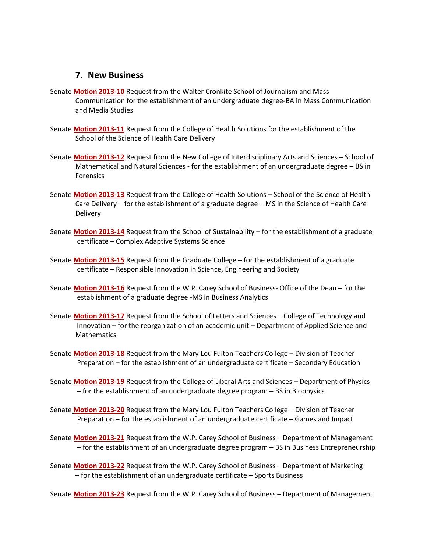#### **7. New Business**

- Senate **[Motion 2013-10](http://usenate.asu.edu/node/4439)** Request from the Walter Cronkite School of Journalism and Mass Communication for the establishment of an undergraduate degree-BA in Mass Communication and Media Studies
- Senate **[Motion 2013-11](http://usenate.asu.edu/node/4440)** Request from the College of Health Solutions for the establishment of the School of the Science of Health Care Delivery
- Senate **[Motion 2013-12](http://usenate.asu.edu/node/4441)** Request from the New College of Interdisciplinary Arts and Sciences School of Mathematical and Natural Sciences - for the establishment of an undergraduate degree – BS in Forensics
- Senate **[Motion 2013-13](http://usenate.asu.edu/node/4442)** Request from the College of Health Solutions School of the Science of Health Care Delivery – for the establishment of a graduate degree – MS in the Science of Health Care **Delivery**
- Senate **[Motion 2013-14](http://usenate.asu.edu/node/4443)** Request from the School of Sustainability for the establishment of a graduate certificate – Complex Adaptive Systems Science
- Senate **[Motion 2013-15](http://usenate.asu.edu/node/4444)** Request from the Graduate College for the establishment of a graduate certificate – Responsible Innovation in Science, Engineering and Society
- Senate **[Motion 2013-16](http://usenate.asu.edu/node/4445)** Request from the W.P. Carey School of Business- Office of the Dean for the establishment of a graduate degree -MS in Business Analytics
- Senate **[Motion 2013-17](http://usenate.asu.edu/node/4446)** Request from the School of Letters and Sciences College of Technology and Innovation – for the reorganization of an academic unit – Department of Applied Science and **Mathematics**
- Senate **[Motion 2013-18](http://usenate.asu.edu/node/4447)** Request from the Mary Lou Fulton Teachers College Division of Teacher Preparation – for the establishment of an undergraduate certificate – Secondary Education
- Senate **[Motion 2013-19](http://usenate.asu.edu/node/4448)** Request from the College of Liberal Arts and Sciences Department of Physics – for the establishment of an undergraduate degree program – BS in Biophysics
- Senate **[Motion 2013-20](http://usenate.asu.edu/node/4449)** Request from the Mary Lou Fulton Teachers College Division of Teacher Preparation – for the establishment of an undergraduate certificate – Games and Impact
- Senate **[Motion 2013-21](http://usenate.asu.edu/node/4450)** Request from the W.P. Carey School of Business Department of Management – for the establishment of an undergraduate degree program – BS in Business Entrepreneurship
- Senate **[Motion 2013-22](http://usenate.asu.edu/node/4453)** Request from the W.P. Carey School of Business Department of Marketing – for the establishment of an undergraduate certificate – Sports Business

Senate **[Motion 2013-23](http://usenate.asu.edu/node/4454)** Request from the W.P. Carey School of Business – Department of Management